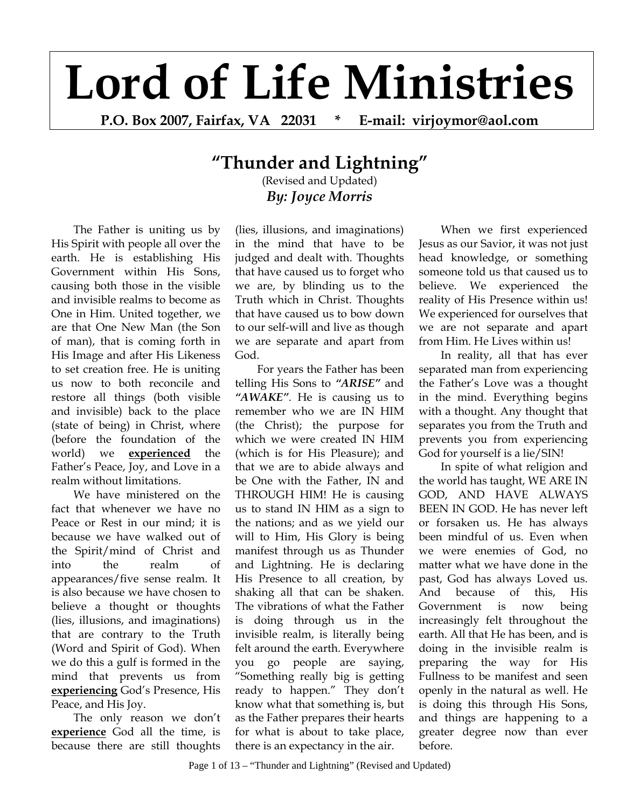## **Lord of Life Ministries**

**P.O. Box 2007, Fairfax, VA 22031 \* E-mail: virjoymor@aol.com** 

## **"Thunder and Lightning"**

(Revised and Updated) *By: Joyce Morris*

The Father is uniting us by His Spirit with people all over the earth. He is establishing His Government within His Sons, causing both those in the visible and invisible realms to become as One in Him. United together, we are that One New Man (the Son of man), that is coming forth in His Image and after His Likeness to set creation free. He is uniting us now to both reconcile and restore all things (both visible and invisible) back to the place (state of being) in Christ, where (before the foundation of the world) we **experienced** the Father's Peace, Joy, and Love in a realm without limitations.

We have ministered on the fact that whenever we have no Peace or Rest in our mind; it is because we have walked out of the Spirit/mind of Christ and into the realm of appearances/five sense realm. It is also because we have chosen to believe a thought or thoughts (lies, illusions, and imaginations) that are contrary to the Truth (Word and Spirit of God). When we do this a gulf is formed in the mind that prevents us from **experiencing** God's Presence, His Peace, and His Joy.

The only reason we don't **experience** God all the time, is because there are still thoughts

(lies, illusions, and imaginations) in the mind that have to be judged and dealt with. Thoughts that have caused us to forget who we are, by blinding us to the Truth which in Christ. Thoughts that have caused us to bow down to our self-will and live as though we are separate and apart from God.

For years the Father has been telling His Sons to *"ARISE"* and *"AWAKE"*. He is causing us to remember who we are IN HIM (the Christ); the purpose for which we were created IN HIM (which is for His Pleasure); and that we are to abide always and be One with the Father, IN and THROUGH HIM! He is causing us to stand IN HIM as a sign to the nations; and as we yield our will to Him, His Glory is being manifest through us as Thunder and Lightning. He is declaring His Presence to all creation, by shaking all that can be shaken. The vibrations of what the Father is doing through us in the invisible realm, is literally being felt around the earth. Everywhere you go people are saying, "Something really big is getting ready to happen." They don't know what that something is, but as the Father prepares their hearts for what is about to take place, there is an expectancy in the air.

When we first experienced Jesus as our Savior, it was not just head knowledge, or something someone told us that caused us to believe. We experienced the reality of His Presence within us! We experienced for ourselves that we are not separate and apart from Him. He Lives within us!

In reality, all that has ever separated man from experiencing the Father's Love was a thought in the mind. Everything begins with a thought. Any thought that separates you from the Truth and prevents you from experiencing God for yourself is a lie/SIN!

In spite of what religion and the world has taught, WE ARE IN GOD, AND HAVE ALWAYS BEEN IN GOD. He has never left or forsaken us. He has always been mindful of us. Even when we were enemies of God, no matter what we have done in the past, God has always Loved us. And because of this, His Government is now being increasingly felt throughout the earth. All that He has been, and is doing in the invisible realm is preparing the way for His Fullness to be manifest and seen openly in the natural as well. He is doing this through His Sons, and things are happening to a greater degree now than ever before.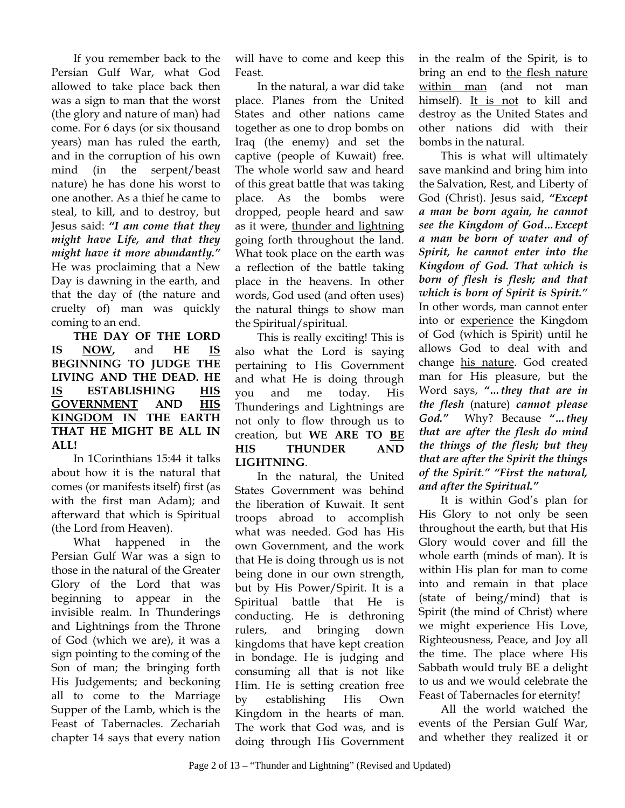If you remember back to the Persian Gulf War, what God allowed to take place back then was a sign to man that the worst (the glory and nature of man) had come. For 6 days (or six thousand years) man has ruled the earth, and in the corruption of his own mind (in the serpent/beast nature) he has done his worst to one another. As a thief he came to steal, to kill, and to destroy, but Jesus said: *"I am come that they might have Life, and that they might have it more abundantly."* He was proclaiming that a New Day is dawning in the earth, and that the day of (the nature and cruelty of) man was quickly coming to an end.

**THE DAY OF THE LORD IS NOW,** and **HE IS BEGINNING TO JUDGE THE LIVING AND THE DEAD. HE IS ESTABLISHING HIS GOVERNMENT AND HIS KINGDOM IN THE EARTH THAT HE MIGHT BE ALL IN ALL!** 

In 1Corinthians 15:44 it talks about how it is the natural that comes (or manifests itself) first (as with the first man Adam); and afterward that which is Spiritual (the Lord from Heaven).

What happened in the Persian Gulf War was a sign to those in the natural of the Greater Glory of the Lord that was beginning to appear in the invisible realm. In Thunderings and Lightnings from the Throne of God (which we are), it was a sign pointing to the coming of the Son of man; the bringing forth His Judgements; and beckoning all to come to the Marriage Supper of the Lamb, which is the Feast of Tabernacles. Zechariah chapter 14 says that every nation

will have to come and keep this Feast.

In the natural, a war did take place. Planes from the United States and other nations came together as one to drop bombs on Iraq (the enemy) and set the captive (people of Kuwait) free. The whole world saw and heard of this great battle that was taking place. As the bombs were dropped, people heard and saw as it were, thunder and lightning going forth throughout the land. What took place on the earth was a reflection of the battle taking place in the heavens. In other words, God used (and often uses) the natural things to show man the Spiritual/spiritual.

This is really exciting! This is also what the Lord is saying pertaining to His Government and what He is doing through you and me today. His Thunderings and Lightnings are not only to flow through us to creation, but **WE ARE TO BE HIS THUNDER AND LIGHTNING**.

In the natural, the United States Government was behind the liberation of Kuwait. It sent troops abroad to accomplish what was needed. God has His own Government, and the work that He is doing through us is not being done in our own strength, but by His Power/Spirit. It is a Spiritual battle that He is conducting. He is dethroning rulers, and bringing down kingdoms that have kept creation in bondage. He is judging and consuming all that is not like Him. He is setting creation free by establishing His Own Kingdom in the hearts of man. The work that God was, and is doing through His Government

in the realm of the Spirit, is to bring an end to the flesh nature within man (and not man himself). It is not to kill and destroy as the United States and other nations did with their bombs in the natural.

This is what will ultimately save mankind and bring him into the Salvation, Rest, and Liberty of God (Christ). Jesus said, *"Except a man be born again, he cannot see the Kingdom of God…Except a man be born of water and of Spirit, he cannot enter into the Kingdom of God. That which is born of flesh is flesh; and that which is born of Spirit is Spirit."* In other words, man cannot enter into or experience the Kingdom of God (which is Spirit) until he allows God to deal with and change his nature. God created man for His pleasure, but the Word says, *"…they that are in the flesh* (nature) *cannot please God."* Why? Because *"…they that are after the flesh do mind the things of the flesh; but they that are after the Spirit the things of the Spirit*.*" "First the natural, and after the Spiritual."*

It is within God's plan for His Glory to not only be seen throughout the earth, but that His Glory would cover and fill the whole earth (minds of man). It is within His plan for man to come into and remain in that place (state of being/mind) that is Spirit (the mind of Christ) where we might experience His Love, Righteousness, Peace, and Joy all the time. The place where His Sabbath would truly BE a delight to us and we would celebrate the Feast of Tabernacles for eternity!

All the world watched the events of the Persian Gulf War, and whether they realized it or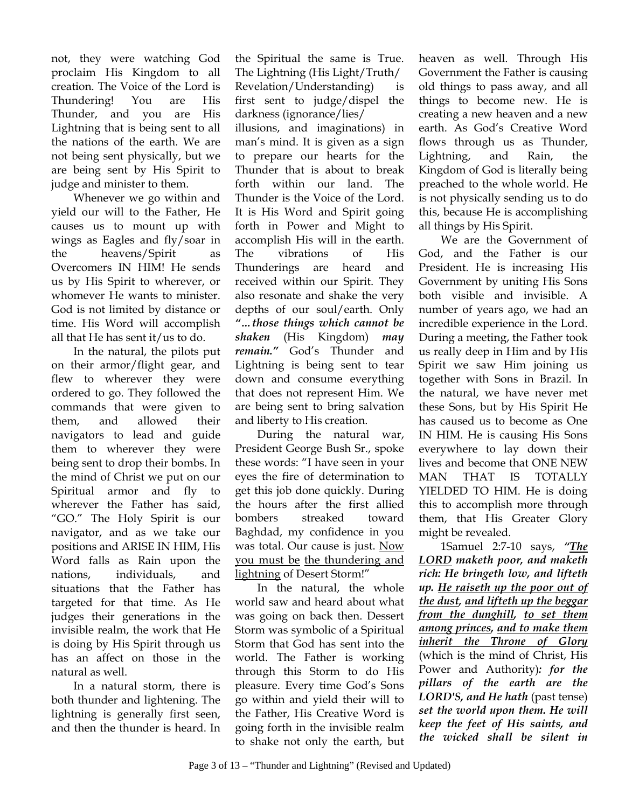not, they were watching God proclaim His Kingdom to all creation. The Voice of the Lord is Thundering! You are His Thunder, and you are His Lightning that is being sent to all the nations of the earth. We are not being sent physically, but we are being sent by His Spirit to judge and minister to them.

Whenever we go within and yield our will to the Father, He causes us to mount up with wings as Eagles and fly/soar in the heavens/Spirit as Overcomers IN HIM! He sends us by His Spirit to wherever, or whomever He wants to minister. God is not limited by distance or time. His Word will accomplish all that He has sent it/us to do.

In the natural, the pilots put on their armor/flight gear, and flew to wherever they were ordered to go. They followed the commands that were given to them, and allowed their navigators to lead and guide them to wherever they were being sent to drop their bombs. In the mind of Christ we put on our Spiritual armor and fly to wherever the Father has said, "GO." The Holy Spirit is our navigator, and as we take our positions and ARISE IN HIM, His Word falls as Rain upon the nations, individuals, and situations that the Father has targeted for that time. As He judges their generations in the invisible realm, the work that He is doing by His Spirit through us has an affect on those in the natural as well.

In a natural storm, there is both thunder and lightening. The lightning is generally first seen, and then the thunder is heard. In

the Spiritual the same is True. The Lightning (His Light/Truth/ Revelation/Understanding) is first sent to judge/dispel the darkness (ignorance/lies/ illusions, and imaginations) in man's mind. It is given as a sign to prepare our hearts for the Thunder that is about to break forth within our land. The Thunder is the Voice of the Lord. It is His Word and Spirit going forth in Power and Might to accomplish His will in the earth. The vibrations of His Thunderings are heard and received within our Spirit. They also resonate and shake the very depths of our soul/earth. Only *"…those things which cannot be shaken* (His Kingdom) *may remain."* God's Thunder and Lightning is being sent to tear down and consume everything that does not represent Him. We are being sent to bring salvation and liberty to His creation.

During the natural war, President George Bush Sr., spoke these words: "I have seen in your eyes the fire of determination to get this job done quickly. During the hours after the first allied bombers streaked toward Baghdad, my confidence in you was total. Our cause is just. Now you must be the thundering and lightning of Desert Storm!"

In the natural, the whole world saw and heard about what was going on back then. Dessert Storm was symbolic of a Spiritual Storm that God has sent into the world. The Father is working through this Storm to do His pleasure. Every time God's Sons go within and yield their will to the Father, His Creative Word is going forth in the invisible realm to shake not only the earth, but

heaven as well. Through His Government the Father is causing old things to pass away, and all things to become new. He is creating a new heaven and a new earth. As God's Creative Word flows through us as Thunder, Lightning, and Rain, the Kingdom of God is literally being preached to the whole world. He is not physically sending us to do this, because He is accomplishing all things by His Spirit.

We are the Government of God, and the Father is our President. He is increasing His Government by uniting His Sons both visible and invisible. A number of years ago, we had an incredible experience in the Lord. During a meeting, the Father took us really deep in Him and by His Spirit we saw Him joining us together with Sons in Brazil. In the natural, we have never met these Sons, but by His Spirit He has caused us to become as One IN HIM. He is causing His Sons everywhere to lay down their lives and become that ONE NEW MAN THAT IS TOTALLY YIELDED TO HIM. He is doing this to accomplish more through them, that His Greater Glory might be revealed.

1Samuel 2:7-10 says, *"The LORD maketh poor, and maketh rich: He bringeth low, and lifteth up. He raiseth up the poor out of the dust, and lifteth up the beggar from the dunghill, to set them among princes, and to make them inherit the Throne of Glory* (which is the mind of Christ, His Power and Authority)*: for the pillars of the earth are the LORD'S, and He hath* (past tense) *set the world upon them. He will keep the feet of His saints, and the wicked shall be silent in*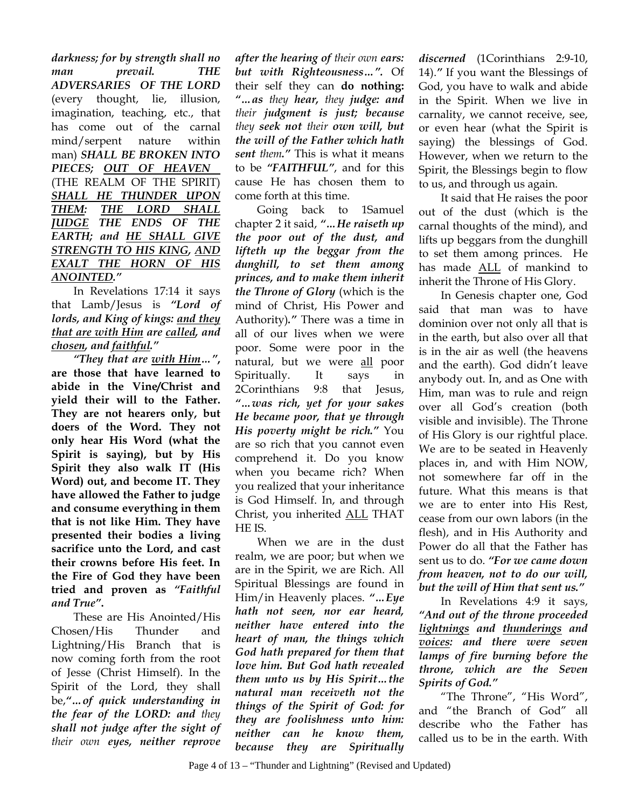*darkness; for by strength shall no man prevail. THE ADVERSARIES OF THE LORD* (every thought, lie, illusion, imagination, teaching, etc., that has come out of the carnal mind/serpent nature within man) *SHALL BE BROKEN INTO PIECES; OUT OF HEAVEN* (THE REALM OF THE SPIRIT) *SHALL HE THUNDER UPON THEM: THE LORD SHALL JUDGE THE ENDS OF THE EARTH; and HE SHALL GIVE STRENGTH TO HIS KING, AND EXALT THE HORN OF HIS ANOINTED."* 

In Revelations 17:14 it says that Lamb/Jesus is *"Lord of lords, and King of kings: and they that are with Him are called, and chosen, and faithful."*

*"They that are with Him…"***, are those that have learned to abide in the Vine/Christ and yield their will to the Father. They are not hearers only, but doers of the Word. They not only hear His Word (what the Spirit is saying), but by His Spirit they also walk IT (His Word) out, and become IT. They have allowed the Father to judge and consume everything in them that is not like Him. They have presented their bodies a living sacrifice unto the Lord, and cast their crowns before His feet. In the Fire of God they have been tried and proven as** *"Faithful and True"***.** 

These are His Anointed/His Chosen/His Thunder and Lightning/His Branch that is now coming forth from the root of Jesse (Christ Himself). In the Spirit of the Lord, they shall be,*"…of quick understanding in the fear of the LORD: and they shall not judge after the sight of their own eyes, neither reprove* 

*after the hearing of their own ears: but with Righteousness…".* Of their self they can **do nothing:**  *"…as they hear, they judge: and their judgment is just; because they seek not their own will, but the will of the Father which hath sent them."* This is what it means to be *"FAITHFUL"*, and for this cause He has chosen them to come forth at this time.

Going back to 1Samuel chapter 2 it said, *"…He raiseth up the poor out of the dust, and lifteth up the beggar from the dunghill, to set them among princes, and to make them inherit the Throne of Glory* (which is the mind of Christ, His Power and Authority)*."* There was a time in all of our lives when we were poor. Some were poor in the natural, but we were all poor Spiritually. It says in 2Corinthians 9:8 that Jesus, *"…was rich, yet for your sakes He became poor, that ye through His poverty might be rich."* You are so rich that you cannot even comprehend it. Do you know when you became rich? When you realized that your inheritance is God Himself. In, and through Christ, you inherited ALL THAT HE IS.

When we are in the dust realm, we are poor; but when we are in the Spirit, we are Rich. All Spiritual Blessings are found in Him/in Heavenly places. *"…Eye hath not seen, nor ear heard, neither have entered into the heart of man, the things which God hath prepared for them that love him. But God hath revealed them unto us by His Spirit…the natural man receiveth not the things of the Spirit of God: for they are foolishness unto him: neither can he know them, because they are Spiritually* 

*discerned* (1Corinthians 2:9-10, 14).*"* If you want the Blessings of God, you have to walk and abide in the Spirit. When we live in carnality, we cannot receive, see, or even hear (what the Spirit is saying) the blessings of God. However, when we return to the Spirit, the Blessings begin to flow to us, and through us again.

It said that He raises the poor out of the dust (which is the carnal thoughts of the mind), and lifts up beggars from the dunghill to set them among princes. He has made ALL of mankind to inherit the Throne of His Glory.

In Genesis chapter one, God said that man was to have dominion over not only all that is in the earth, but also over all that is in the air as well (the heavens and the earth). God didn't leave anybody out. In, and as One with Him, man was to rule and reign over all God's creation (both visible and invisible). The Throne of His Glory is our rightful place. We are to be seated in Heavenly places in, and with Him NOW, not somewhere far off in the future. What this means is that we are to enter into His Rest, cease from our own labors (in the flesh), and in His Authority and Power do all that the Father has sent us to do. *"For we came down from heaven, not to do our will, but the will of Him that sent us."*

In Revelations 4:9 it says, *"And out of the throne proceeded lightnings and thunderings and voices: and there were seven lamps of fire burning before the throne, which are the Seven Spirits of God."*

"The Throne", "His Word", and "the Branch of God" all describe who the Father has called us to be in the earth. With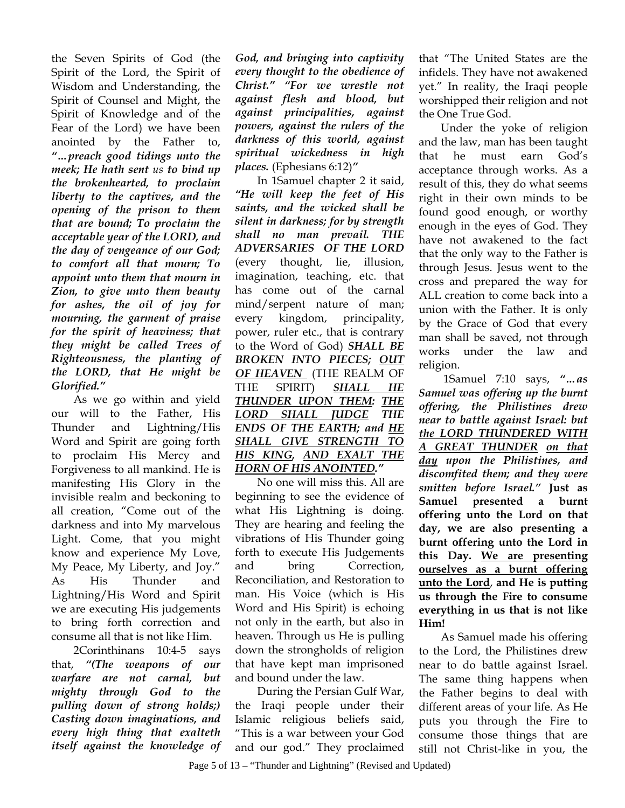the Seven Spirits of God (the Spirit of the Lord, the Spirit of Wisdom and Understanding, the Spirit of Counsel and Might, the Spirit of Knowledge and of the Fear of the Lord) we have been anointed by the Father to, *"…preach good tidings unto the meek; He hath sent us to bind up the brokenhearted, to proclaim liberty to the captives, and the opening of the prison to them that are bound; To proclaim the acceptable year of the LORD, and the day of vengeance of our God; to comfort all that mourn; To appoint unto them that mourn in Zion, to give unto them beauty for ashes, the oil of joy for mourning, the garment of praise for the spirit of heaviness; that they might be called Trees of Righteousness, the planting of the LORD, that He might be Glorified."* 

As we go within and yield our will to the Father, His Thunder and Lightning/His Word and Spirit are going forth to proclaim His Mercy and Forgiveness to all mankind. He is manifesting His Glory in the invisible realm and beckoning to all creation, "Come out of the darkness and into My marvelous Light. Come, that you might know and experience My Love, My Peace, My Liberty, and Joy." As His Thunder and Lightning/His Word and Spirit we are executing His judgements to bring forth correction and consume all that is not like Him.

2Corinthinans 10:4-5 says that, *"(The weapons of our warfare are not carnal, but mighty through God to the pulling down of strong holds;) Casting down imaginations, and every high thing that exalteth itself against the knowledge of*  *God, and bringing into captivity every thought to the obedience of Christ." "For we wrestle not against flesh and blood, but against principalities, against powers, against the rulers of the darkness of this world, against spiritual wickedness in high places.* (Ephesians 6:12)*"*

In 1Samuel chapter 2 it said, *"He will keep the feet of His saints, and the wicked shall be silent in darkness; for by strength shall no man prevail. THE ADVERSARIES OF THE LORD* (every thought, lie, illusion, imagination, teaching, etc. that has come out of the carnal mind/serpent nature of man; every kingdom, principality, power, ruler etc., that is contrary to the Word of God) *SHALL BE BROKEN INTO PIECES; OUT OF HEAVEN* (THE REALM OF THE SPIRIT) *SHALL HE THUNDER UPON THEM: THE LORD SHALL JUDGE THE ENDS OF THE EARTH; and HE SHALL GIVE STRENGTH TO HIS KING, AND EXALT THE HORN OF HIS ANOINTED."*

No one will miss this. All are beginning to see the evidence of what His Lightning is doing. They are hearing and feeling the vibrations of His Thunder going forth to execute His Judgements and bring Correction, Reconciliation, and Restoration to man. His Voice (which is His Word and His Spirit) is echoing not only in the earth, but also in heaven. Through us He is pulling down the strongholds of religion that have kept man imprisoned and bound under the law.

During the Persian Gulf War, the Iraqi people under their Islamic religious beliefs said, "This is a war between your God and our god." They proclaimed

Page 5 of 13 – "Thunder and Lightning" (Revised and Updated)

that "The United States are the infidels. They have not awakened yet." In reality, the Iraqi people worshipped their religion and not the One True God.

Under the yoke of religion and the law, man has been taught that he must earn God's acceptance through works. As a result of this, they do what seems right in their own minds to be found good enough, or worthy enough in the eyes of God. They have not awakened to the fact that the only way to the Father is through Jesus. Jesus went to the cross and prepared the way for ALL creation to come back into a union with the Father. It is only by the Grace of God that every man shall be saved, not through works under the law and religion.

 1Samuel 7:10 says, *"…as Samuel was offering up the burnt offering, the Philistines drew near to battle against Israel: but the LORD THUNDERED WITH A GREAT THUNDER on that day upon the Philistines, and discomfited them; and they were smitten before Israel."* **Just as Samuel presented a burnt offering unto the Lord on that day, we are also presenting a burnt offering unto the Lord in this Day. We are presenting ourselves as a burnt offering unto the Lord**, **and He is putting us through the Fire to consume everything in us that is not like Him!** 

As Samuel made his offering to the Lord, the Philistines drew near to do battle against Israel. The same thing happens when the Father begins to deal with different areas of your life. As He puts you through the Fire to consume those things that are still not Christ-like in you, the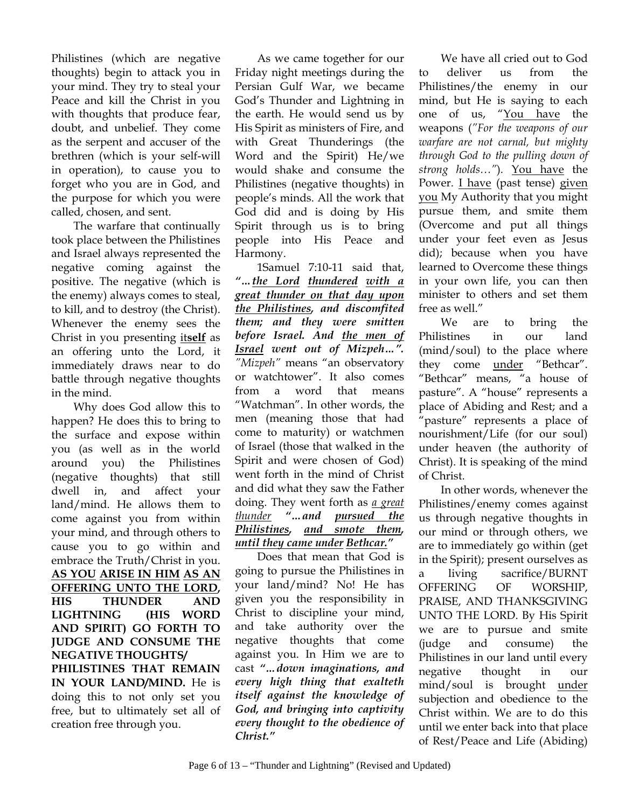Philistines (which are negative thoughts) begin to attack you in your mind. They try to steal your Peace and kill the Christ in you with thoughts that produce fear, doubt, and unbelief. They come as the serpent and accuser of the brethren (which is your self-will in operation), to cause you to forget who you are in God, and the purpose for which you were called, chosen, and sent.

The warfare that continually took place between the Philistines and Israel always represented the negative coming against the positive. The negative (which is the enemy) always comes to steal, to kill, and to destroy (the Christ). Whenever the enemy sees the Christ in you presenting it**self** as an offering unto the Lord, it immediately draws near to do battle through negative thoughts in the mind.

Why does God allow this to happen? He does this to bring to the surface and expose within you (as well as in the world around you) the Philistines (negative thoughts) that still dwell in, and affect your land/mind. He allows them to come against you from within your mind, and through others to cause you to go within and embrace the Truth/Christ in you. **AS YOU ARISE IN HIM AS AN OFFERING UNTO THE LORD, HIS THUNDER AND LIGHTNING (HIS WORD AND SPIRIT) GO FORTH TO JUDGE AND CONSUME THE NEGATIVE THOUGHTS/ PHILISTINES THAT REMAIN IN YOUR LAND/MIND.** He is doing this to not only set you free, but to ultimately set all of creation free through you.

 As we came together for our Friday night meetings during the Persian Gulf War, we became God's Thunder and Lightning in the earth. He would send us by His Spirit as ministers of Fire, and with Great Thunderings (the Word and the Spirit) He/we would shake and consume the Philistines (negative thoughts) in people's minds. All the work that God did and is doing by His Spirit through us is to bring people into His Peace and Harmony.

 1Samuel 7:10-11 said that, *"…the Lord thundered with a great thunder on that day upon the Philistines, and discomfited them; and they were smitten before Israel. And the men of Israel went out of Mizpeh…". "Mizpeh"* means "an observatory or watchtower". It also comes from a word that means "Watchman". In other words, the men (meaning those that had come to maturity) or watchmen of Israel (those that walked in the Spirit and were chosen of God) went forth in the mind of Christ and did what they saw the Father doing. They went forth as *a great thunder "…and pursued the Philistines, and smote them, until they came under Bethcar."* 

 Does that mean that God is going to pursue the Philistines in your land/mind? No! He has given you the responsibility in Christ to discipline your mind, and take authority over the negative thoughts that come against you. In Him we are to cast *"…down imaginations, and every high thing that exalteth itself against the knowledge of God, and bringing into captivity every thought to the obedience of Christ."* 

We have all cried out to God to deliver us from the Philistines/the enemy in our mind, but He is saying to each one of us, "You have the weapons (*"For the weapons of our warfare are not carnal, but mighty through God to the pulling down of strong holds…"*)*.* You have the Power. I have (past tense) given you My Authority that you might pursue them, and smite them (Overcome and put all things under your feet even as Jesus did); because when you have learned to Overcome these things in your own life, you can then minister to others and set them free as well."

We are to bring the Philistines in our land (mind/soul) to the place where they come under "Bethcar". "Bethcar" means, "a house of pasture". A "house" represents a place of Abiding and Rest; and a 'pasture" represents a place of nourishment/Life (for our soul) under heaven (the authority of Christ). It is speaking of the mind of Christ.

In other words, whenever the Philistines/enemy comes against us through negative thoughts in our mind or through others, we are to immediately go within (get in the Spirit); present ourselves as a living sacrifice/BURNT OFFERING OF WORSHIP, PRAISE, AND THANKSGIVING UNTO THE LORD. By His Spirit we are to pursue and smite (judge and consume) the Philistines in our land until every negative thought in our mind/soul is brought under subjection and obedience to the Christ within. We are to do this until we enter back into that place of Rest/Peace and Life (Abiding)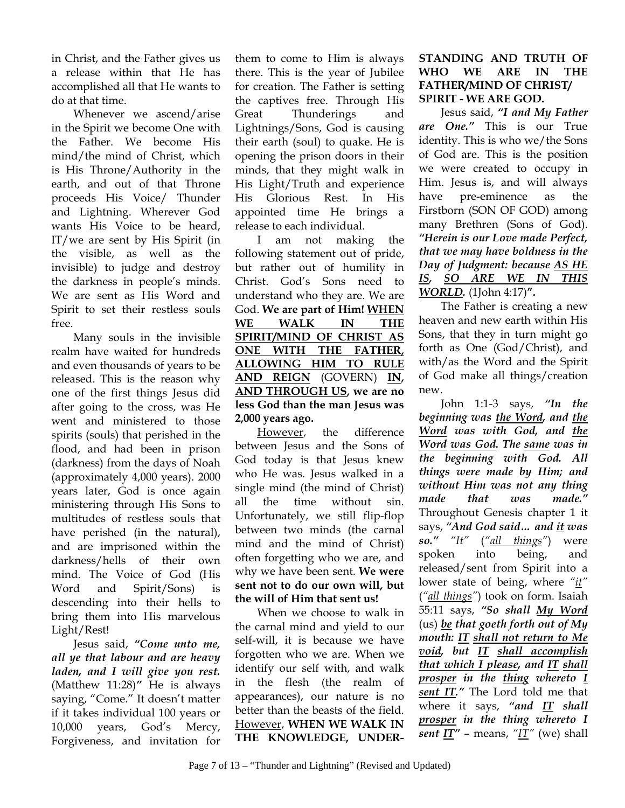in Christ, and the Father gives us a release within that He has accomplished all that He wants to do at that time.

Whenever we ascend/arise in the Spirit we become One with the Father. We become His mind/the mind of Christ, which is His Throne/Authority in the earth, and out of that Throne proceeds His Voice/ Thunder and Lightning. Wherever God wants His Voice to be heard, IT/we are sent by His Spirit (in the visible, as well as the invisible) to judge and destroy the darkness in people's minds. We are sent as His Word and Spirit to set their restless souls free.

Many souls in the invisible realm have waited for hundreds and even thousands of years to be released. This is the reason why one of the first things Jesus did after going to the cross, was He went and ministered to those spirits (souls) that perished in the flood, and had been in prison (darkness) from the days of Noah (approximately 4,000 years). 2000 years later, God is once again ministering through His Sons to multitudes of restless souls that have perished (in the natural), and are imprisoned within the darkness/hells of their own mind. The Voice of God (His Word and Spirit/Sons) is descending into their hells to bring them into His marvelous Light/Rest!

Jesus said, *"Come unto me, all ye that labour and are heavy laden, and I will give you rest.*  (Matthew 11:28)*"* He is always saying, "Come." It doesn't matter if it takes individual 100 years or 10,000 years, God's Mercy, Forgiveness, and invitation for

them to come to Him is always there. This is the year of Jubilee for creation. The Father is setting the captives free. Through His Great Thunderings and Lightnings/Sons, God is causing their earth (soul) to quake. He is opening the prison doors in their minds, that they might walk in His Light/Truth and experience His Glorious Rest. In His appointed time He brings a release to each individual.

I am not making the following statement out of pride, but rather out of humility in Christ. God's Sons need to understand who they are. We are God. **We are part of Him! WHEN WE WALK IN THE SPIRIT/MIND OF CHRIST AS ONE WITH THE FATHER, ALLOWING HIM TO RULE AND REIGN** (GOVERN) **IN, AND THROUGH US, we are no less God than the man Jesus was 2,000 years ago.** 

However, the difference between Jesus and the Sons of God today is that Jesus knew who He was. Jesus walked in a single mind (the mind of Christ) all the time without sin. Unfortunately, we still flip-flop between two minds (the carnal mind and the mind of Christ) often forgetting who we are, and why we have been sent. **We were sent not to do our own will, but the will of Him that sent us!**

When we choose to walk in the carnal mind and yield to our self-will, it is because we have forgotten who we are. When we identify our self with, and walk in the flesh (the realm of appearances), our nature is no better than the beasts of the field. However, **WHEN WE WALK IN THE KNOWLEDGE, UNDER-**

## **STANDING AND TRUTH OF WHO WE ARE IN THE FATHER/MIND OF CHRIST/ SPIRIT - WE ARE GOD.**

Jesus said, *"I and My Father are One."* This is our True identity. This is who we/the Sons of God are. This is the position we were created to occupy in Him. Jesus is, and will always have pre-eminence as the Firstborn (SON OF GOD) among many Brethren (Sons of God). *"Herein is our Love made Perfect, that we may have boldness in the Day of Judgment: because AS HE IS, SO ARE WE IN THIS WORLD.* (1John 4:17)**".**

The Father is creating a new heaven and new earth within His Sons, that they in turn might go forth as One (God/Christ), and with/as the Word and the Spirit of God make all things/creation new.

John 1:1-3 says, *"In the beginning was the Word, and the Word was with God, and the Word was God. The same was in the beginning with God. All things were made by Him; and without Him was not any thing made that was made."* Throughout Genesis chapter 1 it says, *"And God said… and it was so." "It"* (*"all things"*) were spoken into being, and released/sent from Spirit into a lower state of being, where *"it"* (*"all things"*) took on form. Isaiah 55:11 says, *"So shall My Word* (us) *be that goeth forth out of My mouth: IT shall not return to Me void, but IT shall accomplish that which I please, and IT shall prosper in the thing whereto I sent IT."* The Lord told me that where it says, *"and IT shall prosper in the thing whereto I sent IT"* – means, *"IT"* (we) shall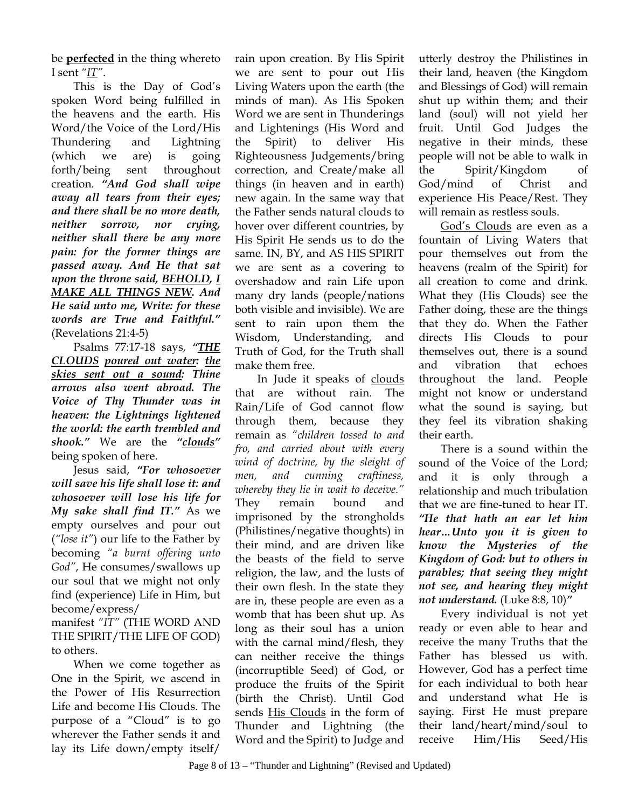be **perfected** in the thing whereto I sent *"IT"*.

This is the Day of God's spoken Word being fulfilled in the heavens and the earth. His Word/the Voice of the Lord/His Thundering and Lightning (which we are) is going forth/being sent throughout creation. *"And God shall wipe away all tears from their eyes; and there shall be no more death, neither sorrow, nor crying, neither shall there be any more pain: for the former things are passed away. And He that sat upon the throne said, BEHOLD, I MAKE ALL THINGS NEW. And He said unto me, Write: for these words are True and Faithful."* (Revelations 21:4-5)

Psalms 77:17-18 says, *"THE CLOUDS poured out water: the skies sent out a sound: Thine arrows also went abroad. The Voice of Thy Thunder was in heaven: the Lightnings lightened the world: the earth trembled and shook."* We are the *"clouds"* being spoken of here.

Jesus said, *"For whosoever will save his life shall lose it: and whosoever will lose his life for My sake shall find IT."* As we empty ourselves and pour out (*"lose it"*) our life to the Father by becoming *"a burnt offering unto God"*, He consumes/swallows up our soul that we might not only find (experience) Life in Him, but become/express/

manifest *"IT"* (THE WORD AND THE SPIRIT/THE LIFE OF GOD) to others.

When we come together as One in the Spirit, we ascend in the Power of His Resurrection Life and become His Clouds. The purpose of a "Cloud" is to go wherever the Father sends it and lay its Life down/empty itself/

rain upon creation. By His Spirit we are sent to pour out His Living Waters upon the earth (the minds of man). As His Spoken Word we are sent in Thunderings and Lightenings (His Word and the Spirit) to deliver His Righteousness Judgements/bring correction, and Create/make all things (in heaven and in earth) new again. In the same way that the Father sends natural clouds to hover over different countries, by His Spirit He sends us to do the same. IN, BY, and AS HIS SPIRIT we are sent as a covering to overshadow and rain Life upon many dry lands (people/nations both visible and invisible). We are sent to rain upon them the Wisdom, Understanding, and Truth of God, for the Truth shall make them free.

In Jude it speaks of clouds that are without rain. The Rain/Life of God cannot flow through them, because they remain as *"children tossed to and fro, and carried about with every wind of doctrine, by the sleight of men, and cunning craftiness, whereby they lie in wait to deceive."* They remain bound and imprisoned by the strongholds (Philistines/negative thoughts) in their mind, and are driven like the beasts of the field to serve religion, the law, and the lusts of their own flesh. In the state they are in, these people are even as a womb that has been shut up. As long as their soul has a union with the carnal mind/flesh, they can neither receive the things (incorruptible Seed) of God, or produce the fruits of the Spirit (birth the Christ). Until God sends His Clouds in the form of Thunder and Lightning (the Word and the Spirit) to Judge and

utterly destroy the Philistines in their land, heaven (the Kingdom and Blessings of God) will remain shut up within them; and their land (soul) will not yield her fruit. Until God Judges the negative in their minds, these people will not be able to walk in the Spirit/Kingdom of God/mind of Christ and experience His Peace/Rest. They will remain as restless souls.

God's Clouds are even as a fountain of Living Waters that pour themselves out from the heavens (realm of the Spirit) for all creation to come and drink. What they (His Clouds) see the Father doing, these are the things that they do. When the Father directs His Clouds to pour themselves out, there is a sound and vibration that echoes throughout the land. People might not know or understand what the sound is saying, but they feel its vibration shaking their earth.

There is a sound within the sound of the Voice of the Lord; and it is only through a relationship and much tribulation that we are fine-tuned to hear IT. *"He that hath an ear let him hear…Unto you it is given to know the Mysteries of the Kingdom of God: but to others in parables; that seeing they might not see, and hearing they might not understand.* (Luke 8:8, 10)*"* 

Every individual is not yet ready or even able to hear and receive the many Truths that the Father has blessed us with. However, God has a perfect time for each individual to both hear and understand what He is saying. First He must prepare their land/heart/mind/soul to receive Him/His Seed/His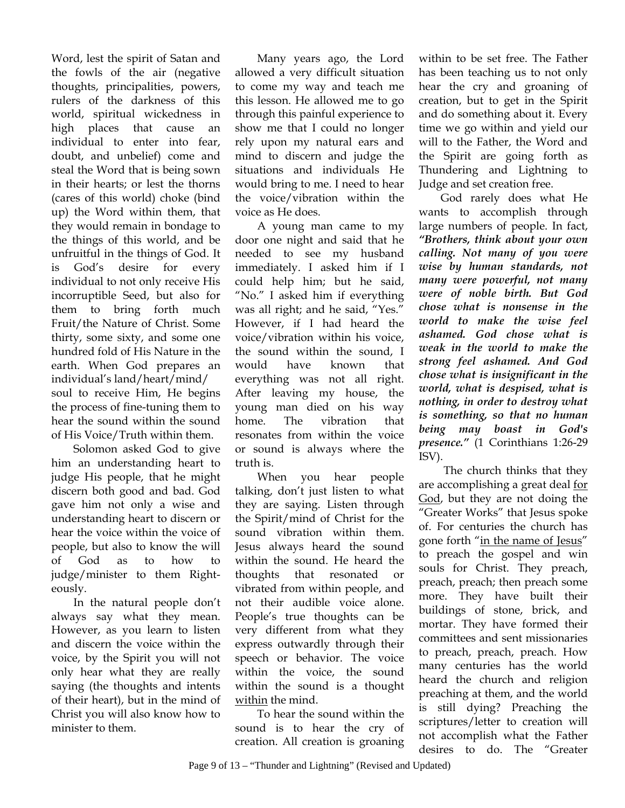Word, lest the spirit of Satan and the fowls of the air (negative thoughts, principalities, powers, rulers of the darkness of this world, spiritual wickedness in high places that cause an individual to enter into fear, doubt, and unbelief) come and steal the Word that is being sown in their hearts; or lest the thorns (cares of this world) choke (bind up) the Word within them, that they would remain in bondage to the things of this world, and be unfruitful in the things of God. It is God's desire for every individual to not only receive His incorruptible Seed, but also for them to bring forth much Fruit/the Nature of Christ. Some thirty, some sixty, and some one hundred fold of His Nature in the earth. When God prepares an individual's land/heart/mind/ soul to receive Him, He begins the process of fine-tuning them to hear the sound within the sound of His Voice/Truth within them.

Solomon asked God to give him an understanding heart to judge His people, that he might discern both good and bad. God gave him not only a wise and understanding heart to discern or hear the voice within the voice of people, but also to know the will of God as to how to judge/minister to them Righteously.

In the natural people don't always say what they mean. However, as you learn to listen and discern the voice within the voice, by the Spirit you will not only hear what they are really saying (the thoughts and intents of their heart), but in the mind of Christ you will also know how to minister to them.

Many years ago, the Lord allowed a very difficult situation to come my way and teach me this lesson. He allowed me to go through this painful experience to show me that I could no longer rely upon my natural ears and mind to discern and judge the situations and individuals He would bring to me. I need to hear the voice/vibration within the voice as He does.

A young man came to my door one night and said that he needed to see my husband immediately. I asked him if I could help him; but he said, "No." I asked him if everything was all right; and he said, "Yes." However, if I had heard the voice/vibration within his voice, the sound within the sound, I would have known that everything was not all right. After leaving my house, the young man died on his way home. The vibration that resonates from within the voice or sound is always where the truth is.

When you hear people talking, don't just listen to what they are saying. Listen through the Spirit/mind of Christ for the sound vibration within them. Jesus always heard the sound within the sound. He heard the thoughts that resonated or vibrated from within people, and not their audible voice alone. People's true thoughts can be very different from what they express outwardly through their speech or behavior. The voice within the voice, the sound within the sound is a thought within the mind.

To hear the sound within the sound is to hear the cry of creation. All creation is groaning within to be set free. The Father has been teaching us to not only hear the cry and groaning of creation, but to get in the Spirit and do something about it. Every time we go within and yield our will to the Father, the Word and the Spirit are going forth as Thundering and Lightning to Judge and set creation free.

God rarely does what He wants to accomplish through large numbers of people. In fact, *"Brothers, think about your own calling. Not many of you were wise by human standards, not many were powerful, not many were of noble birth. But God chose what is nonsense in the world to make the wise feel ashamed. God chose what is weak in the world to make the strong feel ashamed. And God chose what is insignificant in the world, what is despised, what is nothing, in order to destroy what is something, so that no human being may boast in God's presence."* (1 Corinthians 1:26-29 ISV).

 The church thinks that they are accomplishing a great deal for God, but they are not doing the "Greater Works" that Jesus spoke of. For centuries the church has gone forth "in the name of Jesus" to preach the gospel and win souls for Christ. They preach, preach, preach; then preach some more. They have built their buildings of stone, brick, and mortar. They have formed their committees and sent missionaries to preach, preach, preach. How many centuries has the world heard the church and religion preaching at them, and the world is still dying? Preaching the scriptures/letter to creation will not accomplish what the Father desires to do. The "Greater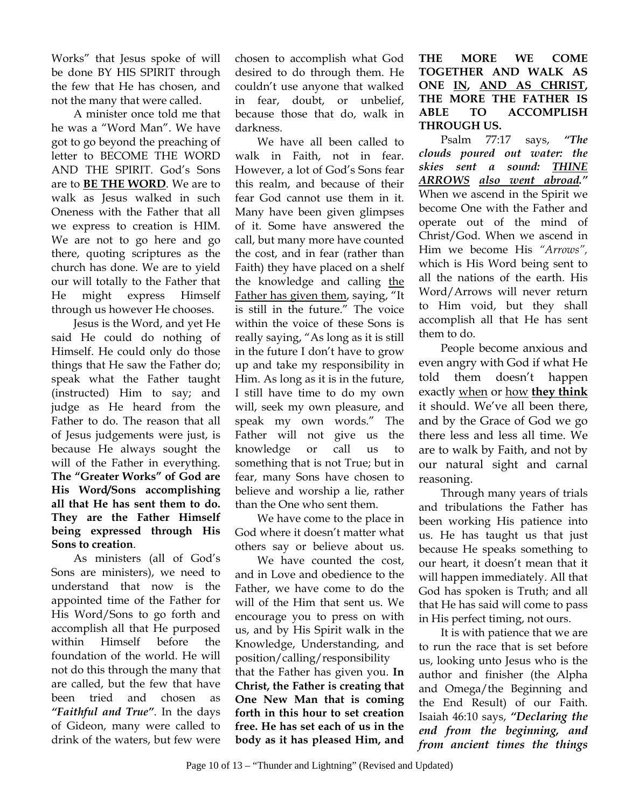Works" that Jesus spoke of will be done BY HIS SPIRIT through the few that He has chosen, and not the many that were called.

A minister once told me that he was a "Word Man". We have got to go beyond the preaching of letter to BECOME THE WORD AND THE SPIRIT. God's Sons are to **BE THE WORD**. We are to walk as Jesus walked in such Oneness with the Father that all we express to creation is HIM. We are not to go here and go there, quoting scriptures as the church has done. We are to yield our will totally to the Father that He might express Himself through us however He chooses.

Jesus is the Word, and yet He said He could do nothing of Himself. He could only do those things that He saw the Father do; speak what the Father taught (instructed) Him to say; and judge as He heard from the Father to do. The reason that all of Jesus judgements were just, is because He always sought the will of the Father in everything. **The "Greater Works" of God are His Word/Sons accomplishing all that He has sent them to do. They are the Father Himself being expressed through His Sons to creation**.

As ministers (all of God's Sons are ministers), we need to understand that now is the appointed time of the Father for His Word/Sons to go forth and accomplish all that He purposed within Himself before the foundation of the world. He will not do this through the many that are called, but the few that have been tried and chosen as *"Faithful and True"*. In the days of Gideon, many were called to drink of the waters, but few were

chosen to accomplish what God desired to do through them. He couldn't use anyone that walked in fear, doubt, or unbelief, because those that do, walk in darkness.

We have all been called to walk in Faith, not in fear. However, a lot of God's Sons fear this realm, and because of their fear God cannot use them in it. Many have been given glimpses of it. Some have answered the call, but many more have counted the cost, and in fear (rather than Faith) they have placed on a shelf the knowledge and calling the Father has given them, saying, "It is still in the future." The voice within the voice of these Sons is really saying, "As long as it is still in the future I don't have to grow up and take my responsibility in Him. As long as it is in the future, I still have time to do my own will, seek my own pleasure, and speak my own words." The Father will not give us the knowledge or call us to something that is not True; but in fear, many Sons have chosen to believe and worship a lie, rather than the One who sent them.

We have come to the place in God where it doesn't matter what others say or believe about us.

 We have counted the cost, and in Love and obedience to the Father, we have come to do the will of the Him that sent us. We encourage you to press on with us, and by His Spirit walk in the Knowledge, Understanding, and position/calling/responsibility that the Father has given you. **In Christ, the Father is creating that One New Man that is coming forth in this hour to set creation free. He has set each of us in the** 

**THE MORE WE COME TOGETHER AND WALK AS ONE IN, AND AS CHRIST, THE MORE THE FATHER IS ABLE TO ACCOMPLISH THROUGH US.**

Psalm 77:17 says, *"The clouds poured out water: the skies sent a sound: THINE ARROWS also went abroad."* When we ascend in the Spirit we become One with the Father and operate out of the mind of Christ/God. When we ascend in Him we become His *"Arrows",*  which is His Word being sent to all the nations of the earth. His Word/Arrows will never return to Him void, but they shall accomplish all that He has sent them to do.

People become anxious and even angry with God if what He told them doesn't happen exactly when or how **they think** it should. We've all been there, and by the Grace of God we go there less and less all time. We are to walk by Faith, and not by our natural sight and carnal reasoning.

Through many years of trials and tribulations the Father has been working His patience into us. He has taught us that just because He speaks something to our heart, it doesn't mean that it will happen immediately. All that God has spoken is Truth; and all that He has said will come to pass in His perfect timing, not ours.

It is with patience that we are to run the race that is set before us, looking unto Jesus who is the author and finisher (the Alpha and Omega/the Beginning and the End Result) of our Faith. Isaiah 46:10 says, *"Declaring the end from the beginning, and from ancient times the things* 

**body as it has pleased Him, and**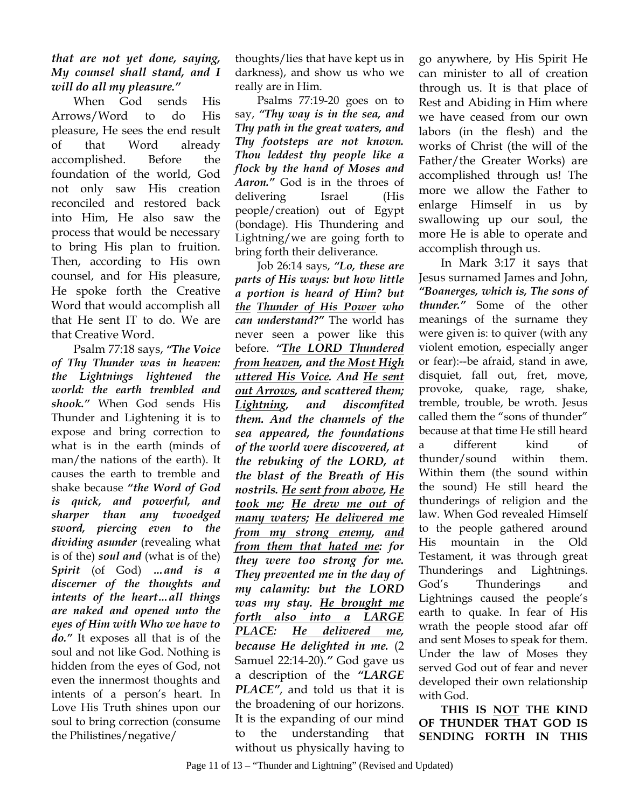## *that are not yet done, saying, My counsel shall stand, and I will do all my pleasure."*

When God sends His Arrows/Word to do His pleasure, He sees the end result of that Word already accomplished. Before the foundation of the world, God not only saw His creation reconciled and restored back into Him, He also saw the process that would be necessary to bring His plan to fruition. Then, according to His own counsel, and for His pleasure, He spoke forth the Creative Word that would accomplish all that He sent IT to do. We are that Creative Word.

Psalm 77:18 says, *"The Voice of Thy Thunder was in heaven: the Lightnings lightened the world: the earth trembled and shook."* When God sends His Thunder and Lightening it is to expose and bring correction to what is in the earth (minds of man/the nations of the earth). It causes the earth to tremble and shake because *"the Word of God is quick, and powerful, and sharper than any twoedged sword, piercing even to the dividing asunder* (revealing what is of the) *soul and* (what is of the) *Spirit* (of God) *…and is a discerner of the thoughts and intents of the heart…all things are naked and opened unto the eyes of Him with Who we have to do."* It exposes all that is of the soul and not like God. Nothing is hidden from the eyes of God, not even the innermost thoughts and intents of a person's heart. In Love His Truth shines upon our soul to bring correction (consume the Philistines/negative/

 Psalms 77:19-20 goes on to say, *"Thy way is in the sea, and Thy path in the great waters, and Thy footsteps are not known. Thou leddest thy people like a flock by the hand of Moses and Aaron."* God is in the throes of delivering Israel (His people/creation) out of Egypt (bondage). His Thundering and Lightning/we are going forth to bring forth their deliverance.

 Job 26:14 says, *"Lo, these are parts of His ways: but how little a portion is heard of Him? but the Thunder of His Power who can understand?"* The world has never seen a power like this before. *"The LORD Thundered from heaven, and the Most High uttered His Voice. And He sent out Arrows, and scattered them; Lightning, and discomfited them. And the channels of the sea appeared, the foundations of the world were discovered, at the rebuking of the LORD, at the blast of the Breath of His nostrils. He sent from above, He took me; He drew me out of many waters; He delivered me from my strong enemy, and from them that hated me: for they were too strong for me. They prevented me in the day of my calamity: but the LORD was my stay. He brought me forth also into a LARGE PLACE: He delivered me, because He delighted in me.* (2 Samuel 22:14-20).*"* God gave us a description of the *"LARGE PLACE"*, and told us that it is the broadening of our horizons. It is the expanding of our mind to the understanding that without us physically having to

go anywhere, by His Spirit He can minister to all of creation through us. It is that place of Rest and Abiding in Him where we have ceased from our own labors (in the flesh) and the works of Christ (the will of the Father/the Greater Works) are accomplished through us! The more we allow the Father to enlarge Himself in us by swallowing up our soul, the more He is able to operate and accomplish through us.

 In Mark 3:17 it says that Jesus surnamed James and John, *"Boanerges, which is, The sons of thunder."* Some of the other meanings of the surname they were given is: to quiver (with any violent emotion, especially anger or fear):--be afraid, stand in awe, disquiet, fall out, fret, move, provoke, quake, rage, shake, tremble, trouble, be wroth. Jesus called them the "sons of thunder" because at that time He still heard a different kind of thunder/sound within them. Within them (the sound within the sound) He still heard the thunderings of religion and the law. When God revealed Himself to the people gathered around His mountain in the Old Testament, it was through great Thunderings and Lightnings. God's Thunderings and Lightnings caused the people's earth to quake. In fear of His wrath the people stood afar off and sent Moses to speak for them. Under the law of Moses they served God out of fear and never developed their own relationship with God.

**THIS IS NOT THE KIND OF THUNDER THAT GOD IS SENDING FORTH IN THIS**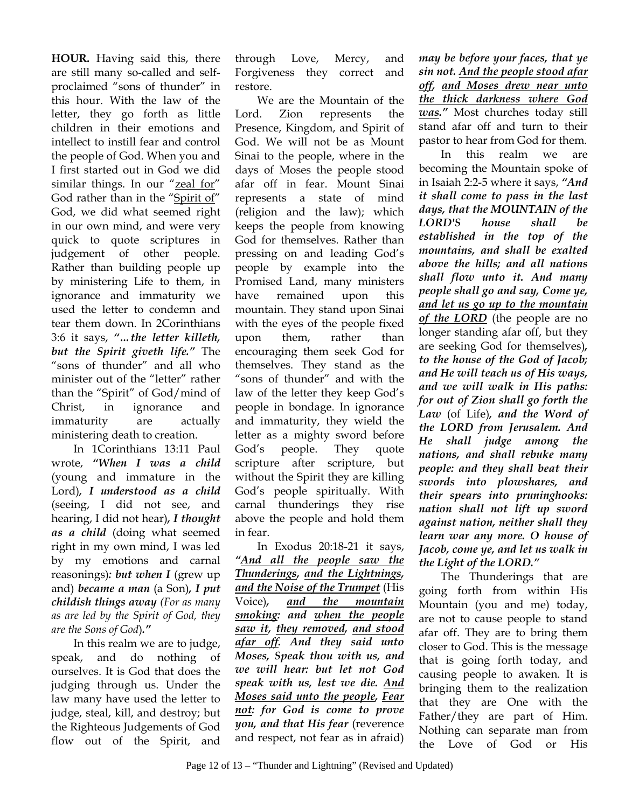**HOUR.** Having said this, there are still many so-called and selfproclaimed "sons of thunder" in this hour. With the law of the letter, they go forth as little children in their emotions and intellect to instill fear and control the people of God. When you and I first started out in God we did similar things. In our "zeal for" God rather than in the "Spirit of" God, we did what seemed right in our own mind, and were very quick to quote scriptures in judgement of other people. Rather than building people up by ministering Life to them, in ignorance and immaturity we used the letter to condemn and tear them down. In 2Corinthians 3:6 it says, *"…the letter killeth, but the Spirit giveth life."* The "sons of thunder" and all who minister out of the "letter" rather than the "Spirit" of God/mind of Christ, in ignorance and immaturity are actually ministering death to creation.

In 1Corinthians 13:11 Paul wrote, *"When I was a child*  (young and immature in the Lord)*, I understood as a child*  (seeing, I did not see, and hearing, I did not hear)*, I thought as a child* (doing what seemed right in my own mind, I was led by my emotions and carnal reasonings)*: but when I* (grew up and) *became a man* (a Son)*, I put childish things away (For as many as are led by the Spirit of God, they are the Sons of God*)*."*

In this realm we are to judge, speak, and do nothing of ourselves. It is God that does the judging through us. Under the law many have used the letter to judge, steal, kill, and destroy; but the Righteous Judgements of God flow out of the Spirit, and

through Love, Mercy, and Forgiveness they correct and restore.

We are the Mountain of the Lord. Zion represents the Presence, Kingdom, and Spirit of God. We will not be as Mount Sinai to the people, where in the days of Moses the people stood afar off in fear. Mount Sinai represents a state of mind (religion and the law); which keeps the people from knowing God for themselves. Rather than pressing on and leading God's people by example into the Promised Land, many ministers have remained upon this mountain. They stand upon Sinai with the eyes of the people fixed upon them, rather than encouraging them seek God for themselves. They stand as the "sons of thunder" and with the law of the letter they keep God's people in bondage. In ignorance and immaturity, they wield the letter as a mighty sword before God's people. They quote scripture after scripture, but without the Spirit they are killing God's people spiritually. With carnal thunderings they rise above the people and hold them in fear.

In Exodus 20:18-21 it says, *"And all the people saw the Thunderings, and the Lightnings, and the Noise of the Trumpet* (His Voice)*, and the mountain smoking: and when the people saw it, they removed, and stood afar off. And they said unto Moses, Speak thou with us, and we will hear: but let not God speak with us, lest we die. And Moses said unto the people, Fear not: for God is come to prove you, and that His fear* (reverence and respect, not fear as in afraid)

*may be before your faces, that ye sin not. And the people stood afar off, and Moses drew near unto the thick darkness where God was."* Most churches today still stand afar off and turn to their pastor to hear from God for them.

In this realm we are becoming the Mountain spoke of in Isaiah 2:2-5 where it says, *"And it shall come to pass in the last days, that the MOUNTAIN of the LORD'S house shall be established in the top of the mountains, and shall be exalted above the hills; and all nations shall flow unto it. And many people shall go and say, Come ye, and let us go up to the mountain of the LORD* (the people are no longer standing afar off, but they are seeking God for themselves)*, to the house of the God of Jacob; and He will teach us of His ways, and we will walk in His paths: for out of Zion shall go forth the Law* (of Life)*, and the Word of the LORD from Jerusalem. And He shall judge among the nations, and shall rebuke many people: and they shall beat their swords into plowshares, and their spears into pruninghooks: nation shall not lift up sword against nation, neither shall they learn war any more. O house of Jacob, come ye, and let us walk in the Light of the LORD."* 

The Thunderings that are going forth from within His Mountain (you and me) today, are not to cause people to stand afar off. They are to bring them closer to God. This is the message that is going forth today, and causing people to awaken. It is bringing them to the realization that they are One with the Father/they are part of Him. Nothing can separate man from the Love of God or His